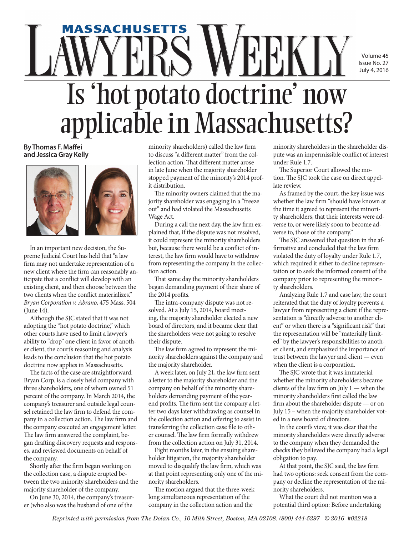## Volume 45 Issue No. 27 July 4, 2016

## Is 'hot potato doctrine' now applicable in Massachusetts? **massachusetts**

**By Thomas F. Maffei and Jessica Gray Kelly**





In an important new decision, the Supreme Judicial Court has held that "a law firm may not undertake representation of a new client where the firm can reasonably anticipate that a conflict will develop with an existing client, and then choose between the two clients when the conflict materializes." *Bryan Corporation v. Abrano*, 475 Mass. 504 (June 14).

Although the SJC stated that it was not adopting the "hot potato doctrine," which other courts have used to limit a lawyer's ability to "drop" one client in favor of another client, the court's reasoning and analysis leads to the conclusion that the hot potato doctrine now applies in Massachusetts.

The facts of the case are straightforward. Bryan Corp. is a closely held company with three shareholders, one of whom owned 51 percent of the company. In March 2014, the company's treasurer and outside legal counsel retained the law firm to defend the company in a collection action. The law firm and the company executed an engagement letter. The law firm answered the complaint, began drafting discovery requests and responses, and reviewed documents on behalf of the company.

Shortly after the firm began working on the collection case, a dispute erupted between the two minority shareholders and the majority shareholder of the company.

On June 30, 2014, the company's treasurer (who also was the husband of one of the

minority shareholders) called the law firm to discuss "a different matter" from the collection action. That different matter arose in late June when the majority shareholder stopped payment of the minority's 2014 profit distribution.

The minority owners claimed that the majority shareholder was engaging in a "freeze out" and had violated the Massachusetts Wage Act.

During a call the next day, the law firm explained that, if the dispute was not resolved, it could represent the minority shareholders but, because there would be a conflict of interest, the law firm would have to withdraw from representing the company in the collection action.

That same day the minority shareholders began demanding payment of their share of the 2014 profits.

The intra-company dispute was not resolved. At a July 15, 2014, board meeting, the majority shareholder elected a new board of directors, and it became clear that the shareholders were not going to resolve their dispute.

The law firm agreed to represent the minority shareholders against the company and the majority shareholder.

A week later, on July 21, the law firm sent a letter to the majority shareholder and the company on behalf of the minority shareholders demanding payment of the yearend profits. The firm sent the company a letter two days later withdrawing as counsel in the collection action and offering to assist in transferring the collection case file to other counsel. The law firm formally withdrew from the collection action on July 31, 2014.

Eight months later, in the ensuing shareholder litigation, the majority shareholder moved to disqualify the law firm, which was at that point representing only one of the minority shareholders.

The motion argued that the three-week long simultaneous representation of the company in the collection action and the

minority shareholders in the shareholder dispute was an impermissible conflict of interest under Rule 1.7.

The Superior Court allowed the motion. The SJC took the case on direct appellate review.

As framed by the court, the key issue was whether the law firm "should have known at the time it agreed to represent the minority shareholders, that their interests were adverse to, or were likely soon to become adverse to, those of the company."

The SJC answered that question in the affirmative and concluded that the law firm violated the duty of loyalty under Rule 1.7, which required it either to decline representation or to seek the informed consent of the company prior to representing the minority shareholders.

Analyzing Rule 1.7 and case law, the court reiterated that the duty of loyalty prevents a lawyer from representing a client if the representation is "directly adverse to another client" or when there is a "significant risk" that the representation will be "materially limited" by the lawyer's responsibilities to another client, and emphasized the importance of trust between the lawyer and client — even when the client is a corporation.

The SJC wrote that it was immaterial whether the minority shareholders became clients of the law firm on July  $1$  — when the minority shareholders first called the law firm about the shareholder dispute — or on July 15 – when the majority shareholder voted in a new board of directors.

In the court's view, it was clear that the minority shareholders were directly adverse to the company when they demanded the checks they believed the company had a legal obligation to pay.

At that point, the SJC said, the law firm had two options: seek consent from the company or decline the representation of the minority shareholders.

What the court did not mention was a potential third option: Before undertaking